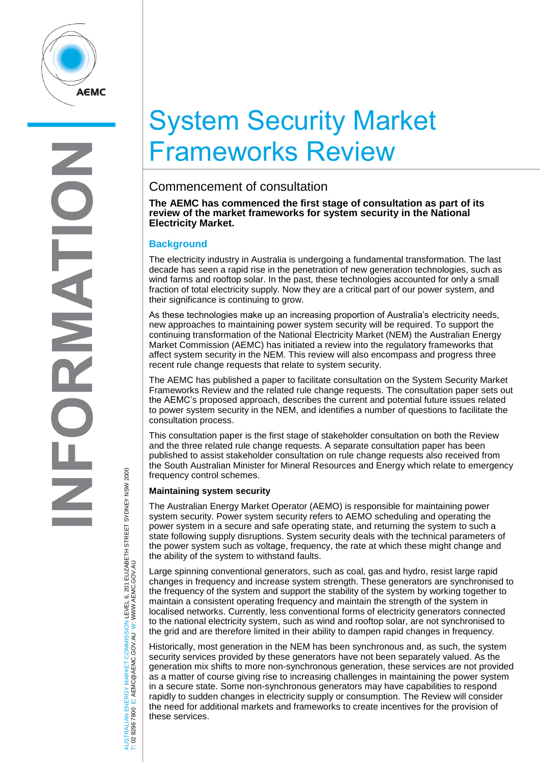

# System Security Market Frameworks Review

## Commencement of consultation

**The AEMC has commenced the first stage of consultation as part of its review of the market frameworks for system security in the National Electricity Market.**

### **Background**

The electricity industry in Australia is undergoing a fundamental transformation. The last decade has seen a rapid rise in the penetration of new generation technologies, such as wind farms and rooftop solar. In the past, these technologies accounted for only a small fraction of total electricity supply. Now they are a critical part of our power system, and their significance is continuing to grow.

As these technologies make up an increasing proportion of Australia's electricity needs, new approaches to maintaining power system security will be required. To support the continuing transformation of the National Electricity Market (NEM) the Australian Energy Market Commission (AEMC) has initiated a review into the regulatory frameworks that affect system security in the NEM. This review will also encompass and progress three recent rule change requests that relate to system security.

The AEMC has published a paper to facilitate consultation on the System Security Market Frameworks Review and the related rule change requests. The consultation paper sets out the AEMC's proposed approach, describes the current and potential future issues related to power system security in the NEM, and identifies a number of questions to facilitate the consultation process.

This consultation paper is the first stage of stakeholder consultation on both the Review and the three related rule change requests. A separate consultation paper has been published to assist stakeholder consultation on rule change requests also received from the South Australian Minister for Mineral Resources and Energy which relate to emergency frequency control schemes.

### **Maintaining system security**

The Australian Energy Market Operator (AEMO) is responsible for maintaining power system security. Power system security refers to AEMO scheduling and operating the power system in a secure and safe operating state, and returning the system to such a state following supply disruptions. System security deals with the technical parameters of the power system such as voltage, frequency, the rate at which these might change and the ability of the system to withstand faults.

Large spinning conventional generators, such as coal, gas and hydro, resist large rapid changes in frequency and increase system strength. These generators are synchronised to the frequency of the system and support the stability of the system by working together to maintain a consistent operating frequency and maintain the strength of the system in localised networks. Currently, less conventional forms of electricity generators connected to the national electricity system, such as wind and rooftop solar, are not synchronised to the grid and are therefore limited in their ability to dampen rapid changes in frequency.

Historically, most generation in the NEM has been synchronous and, as such, the system security services provided by these generators have not been separately valued. As the generation mix shifts to more non-synchronous generation, these services are not provided as a matter of course giving rise to increasing challenges in maintaining the power system in a secure state. Some non-synchronous generators may have capabilities to respond rapidly to sudden changes in electricity supply or consumption. The Review will consider the need for additional markets and frameworks to create incentives for the provision of these services.

AUSTRALIAN ENERGY MARKET COMMISSION LEVEL 6, 201 ELIZABETH STREET SYDNEY NSW 2000 AUSTRALIAN ENERGY MARKET COMMISSION LEVEL 6, 201 ELIZABETH STREET SYDNEY NSW 2000<br>T: 02 8296 7800 E: AEMC@AEMC.GOV.AU W: WWW.AEMC.GOV.AU W: WWW.AEMC.GOV.AU T: 02 8296 7800 E: AEMC@AEMC.GOV.AU